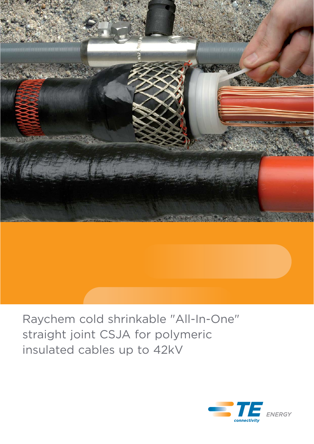

# Raychem cold shrinkable "All-In-One" straight joint CSJA for polymeric insulated cables up to 42kV

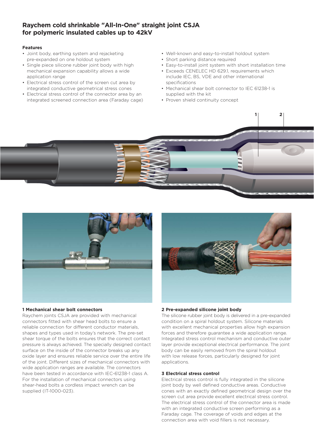# **Raychem cold shrinkable "All-In-One" straight joint CSJA for polymeric insulated cables up to 42kV**

#### **Features**

- Joint body, earthing system and rejacketing pre-expanded on one holdout system
- Single piece silicone rubber joint body with high mechanical expansion capability allows a wide application range
- Electrical stress control of the screen cut area by integrated conductive geometrical stress cones
- Electrical stress control of the connector area by an integrated screened connection area (Faraday cage)
- Well-known and easy-to-install holdout system
- Short parking distance required
- Easy-to-install joint system with short installation time
- Exceeds CENELEC HD 629.1, requirements which include IEC, BS, VDE and other international specifications
- Mechanical shear bolt connector to IEC 61238-1 is supplied with the kit

**1 2**

• Proven shield continuity concept



#### **1 Mechanical shear bolt connectors**

Raychem joints CSJA are provided with mechanical connectors fitted with shear head bolts to ensure a reliable connection for different conductor materials, shapes and types used in today's network. The pre-set shear torque of the bolts ensures that the correct contact pressure is always achieved. The specially designed contact surface on the inside of the connector breaks up any oxide layer and ensures reliable service over the entire life of the joint. Different sizes of mechanical connectors with wide application ranges are available. The connectors have been tested in accordance with IEC-61238-1 class A. For the installation of mechanical connectors using shear-head bolts a cordless impact wrench can be supplied (IT-1000-023).



## **2 Pre-expanded silicone joint body**

The silicone rubber joint body is delivered in a pre-expanded condition on a spiral holdout system. Silicone materials with excellent mechanical properties allow high expansion forces and therefore guarantee a wide application range. Integrated stress control mechanism and conductive outer layer provide exceptional electrical performance. The joint body can be easily removed from the spiral holdout with low release forces, particularly designed for joint applications.

#### **3 Electrical stress control**

Electrical stress control is fully integrated in the silicone joint body by well defined conductive areas. Conductive cones with an exactly defined geometrical design over the screen cut area provide excellent electrical stress control. The electrical stress control of the connector area is made with an integrated conductive screen performing as a Faraday cage. The coverage of voids and edges at the connection area with void fillers is not necessary.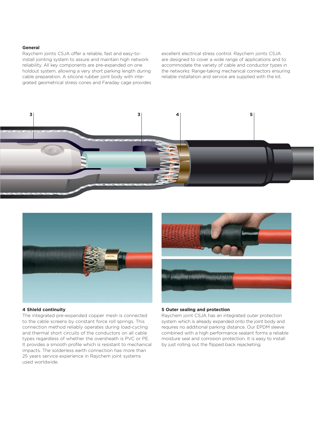#### **General**

Raychem joints CSJA offer a reliable, fast and easy-toinstall jointing system to assure and maintain high network reliability. All key components are pre-expanded on one holdout system, allowing a very short parking length during cable preparation. A silicone rubber joint body with integrated geometrical stress cones and Faraday cage provides

excellent electrical stress control. Raychem joints CSJA are designed to cover a wide range of applications and to accommodate the variety of cable and conductor types in the networks. Range-taking mechanical connectors ensuring reliable installation and service are supplied with the kit.





#### **4 Shield continuity**

The integrated pre-expanded copper mesh is connected to the cable screens by constant force roll springs. This connection method reliably operates during load-cycling and thermal short circuits of the conductors on all cable types regardless of whether the oversheath is PVC or PE. It provides a smooth profile which is resistant to mechanical impacts. The solderless earth connection has more than 25 years service experience in Raychem joint systems used worldwide.



## **5 Outer sealing and protection**

Raychem joint CSJA has an integrated outer protection system which is already expanded onto the joint body and requires no additional parking distance. Our EPDM sleeve combined with a high performance sealant forms a reliable moisture seal and corrosion protection. It is easy to install by just rolling out the flipped back rejacketing.